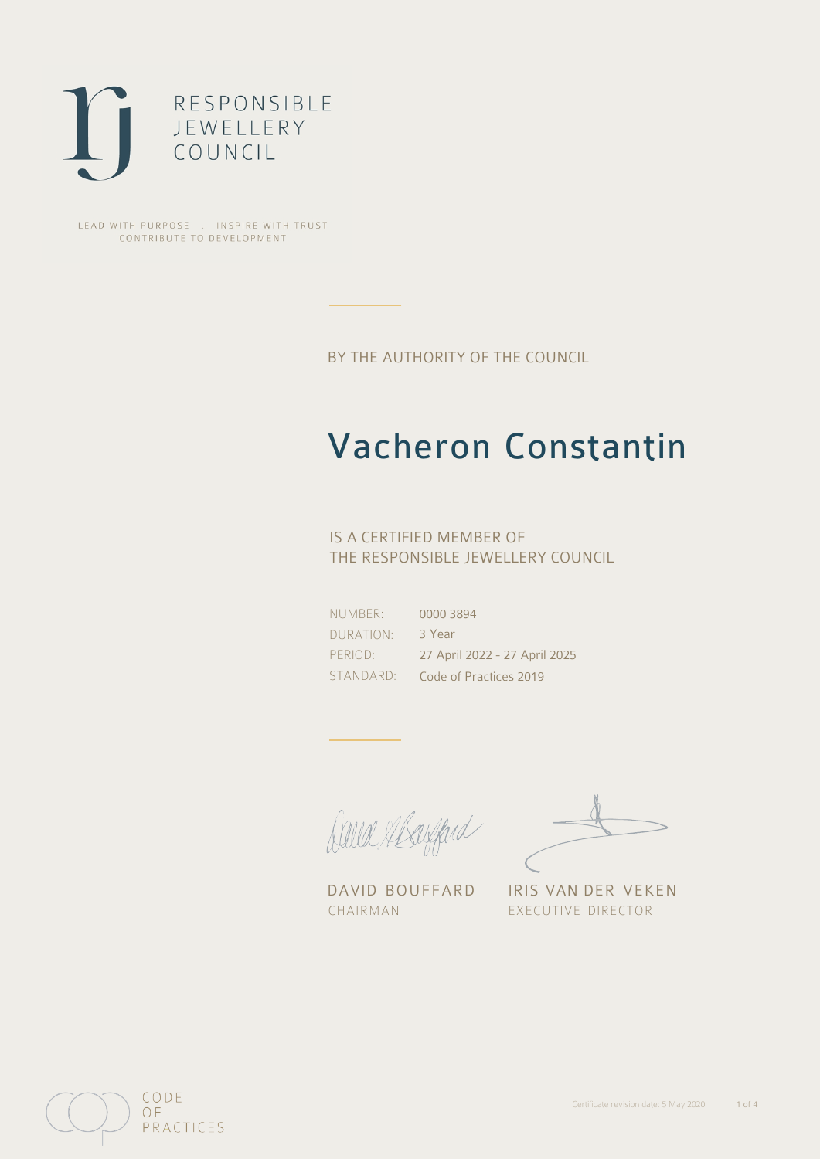

LEAD WITH PURPOSE . INSPIRE WITH TRUST CONTRIBUTE TO DEVELOPMENT

BY THE AUTHORITY OF THE COUNCIL

## Vacheron Constantin

### IS A CERTIFIED MEMBER OF THE RESPONSIBLE JEWELLERY COUNCIL

NUMBER: DURATION: PERIOD: STANDARD: 0000 3894 3 Year 27 April 2022 - 27 April 2025 Code of Practices 2019

Caux Margaret

DAVID BOUFFARD IRIS VAN DER VEKEN CHAIRMAN EXECUTIVE DIRECTOR

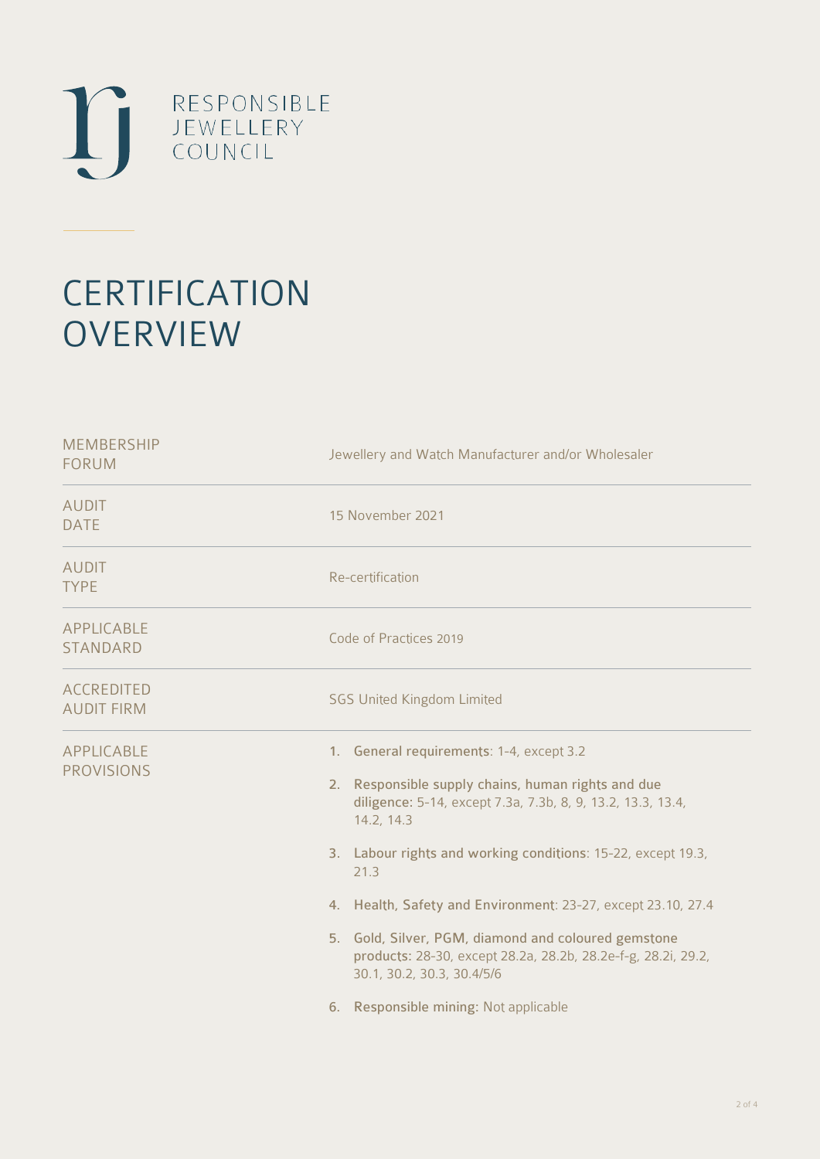

# **CERTIFICATION OVERVIEW**

| Jewellery and Watch Manufacturer and/or Wholesaler                                                                                                                                                                                                                                                                                                                                                                                                                                                                 |
|--------------------------------------------------------------------------------------------------------------------------------------------------------------------------------------------------------------------------------------------------------------------------------------------------------------------------------------------------------------------------------------------------------------------------------------------------------------------------------------------------------------------|
| 15 November 2021                                                                                                                                                                                                                                                                                                                                                                                                                                                                                                   |
| Re-certification                                                                                                                                                                                                                                                                                                                                                                                                                                                                                                   |
| Code of Practices 2019                                                                                                                                                                                                                                                                                                                                                                                                                                                                                             |
| <b>SGS United Kingdom Limited</b>                                                                                                                                                                                                                                                                                                                                                                                                                                                                                  |
| 1. General requirements: 1-4, except 3.2<br>2. Responsible supply chains, human rights and due<br>diligence: 5-14, except 7.3a, 7.3b, 8, 9, 13.2, 13.3, 13.4,<br>14.2, 14.3<br>3. Labour rights and working conditions: 15-22, except 19.3,<br>21.3<br>4. Health, Safety and Environment: 23-27, except 23.10, 27.4<br>5. Gold, Silver, PGM, diamond and coloured gemstone<br>products: 28-30, except 28.2a, 28.2b, 28.2e-f-g, 28.2i, 29.2,<br>30.1, 30.2, 30.3, 30.4/5/6<br>6. Responsible mining: Not applicable |
|                                                                                                                                                                                                                                                                                                                                                                                                                                                                                                                    |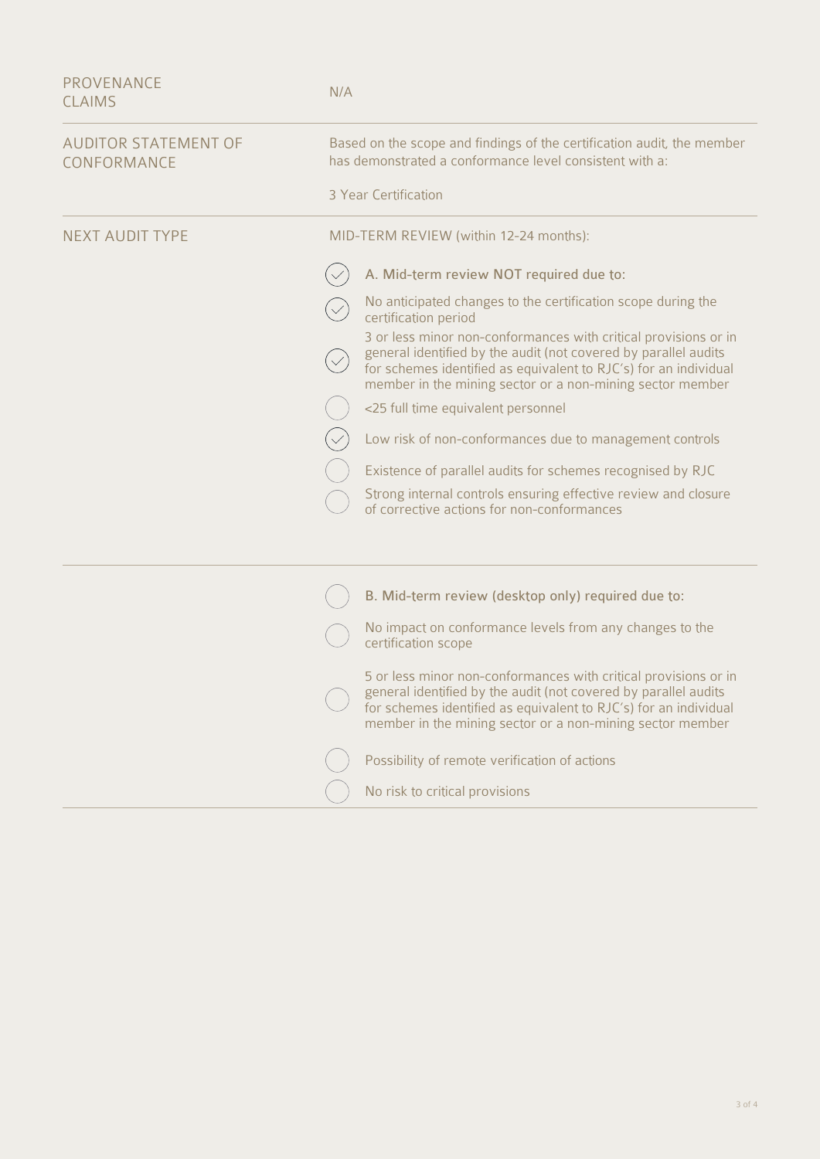| <b>PROVENANCE</b><br><b>CLAIMS</b>         | N/A                                                                                                                                                                                                                                                                 |
|--------------------------------------------|---------------------------------------------------------------------------------------------------------------------------------------------------------------------------------------------------------------------------------------------------------------------|
| <b>AUDITOR STATEMENT OF</b><br>CONFORMANCE | Based on the scope and findings of the certification audit, the member<br>has demonstrated a conformance level consistent with a:                                                                                                                                   |
|                                            | 3 Year Certification                                                                                                                                                                                                                                                |
| <b>NEXT AUDIT TYPE</b>                     | MID-TERM REVIEW (within 12-24 months):                                                                                                                                                                                                                              |
|                                            | A. Mid-term review NOT required due to:                                                                                                                                                                                                                             |
|                                            | No anticipated changes to the certification scope during the<br>certification period                                                                                                                                                                                |
|                                            | 3 or less minor non-conformances with critical provisions or in<br>general identified by the audit (not covered by parallel audits<br>for schemes identified as equivalent to RJC's) for an individual<br>member in the mining sector or a non-mining sector member |
|                                            | <25 full time equivalent personnel                                                                                                                                                                                                                                  |
|                                            | Low risk of non-conformances due to management controls                                                                                                                                                                                                             |
|                                            | Existence of parallel audits for schemes recognised by RJC                                                                                                                                                                                                          |
|                                            | Strong internal controls ensuring effective review and closure<br>of corrective actions for non-conformances                                                                                                                                                        |
|                                            |                                                                                                                                                                                                                                                                     |
|                                            | B. Mid-term review (desktop only) required due to:                                                                                                                                                                                                                  |
|                                            | No impact on conformance levels from any changes to the<br>certification scope                                                                                                                                                                                      |
|                                            | 5 or less minor non-conformances with critical provisions or in<br>general identified by the audit (not covered by parallel audits<br>for schemes identified as equivalent to RJC's) for an individual<br>member in the mining sector or a non-mining sector member |
|                                            | Possibility of remote verification of actions                                                                                                                                                                                                                       |
|                                            | No risk to critical provisions                                                                                                                                                                                                                                      |